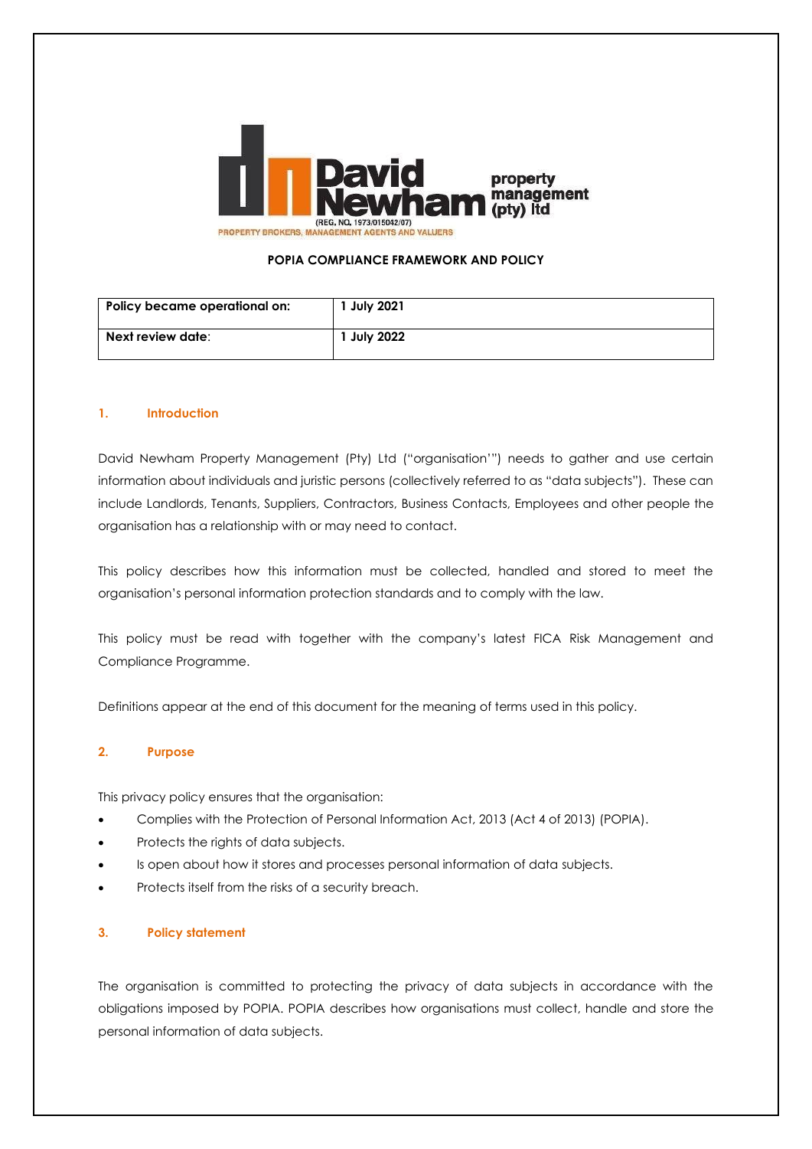

### **POPIA COMPLIANCE FRAMEWORK AND POLICY**

| Policy became operational on: | 1 July 2021 |
|-------------------------------|-------------|
| Next review date:             | 1 July 2022 |

#### **1. Introduction**

David Newham Property Management (Pty) Ltd ("organisation'") needs to gather and use certain information about individuals and juristic persons (collectively referred to as "data subjects"). These can include Landlords, Tenants, Suppliers, Contractors, Business Contacts, Employees and other people the organisation has a relationship with or may need to contact.

This policy describes how this information must be collected, handled and stored to meet the organisation's personal information protection standards and to comply with the law.

This policy must be read with together with the company's latest FICA Risk Management and Compliance Programme.

Definitions appear at the end of this document for the meaning of terms used in this policy.

#### **2. Purpose**

This privacy policy ensures that the organisation:

- Complies with the Protection of Personal Information Act, 2013 (Act 4 of 2013) (POPIA).
- Protects the rights of data subjects.
- Is open about how it stores and processes personal information of data subjects.
- Protects itself from the risks of a security breach.

#### **3. Policy statement**

The organisation is committed to protecting the privacy of data subjects in accordance with the obligations imposed by POPIA. POPIA describes how organisations must collect, handle and store the personal information of data subjects.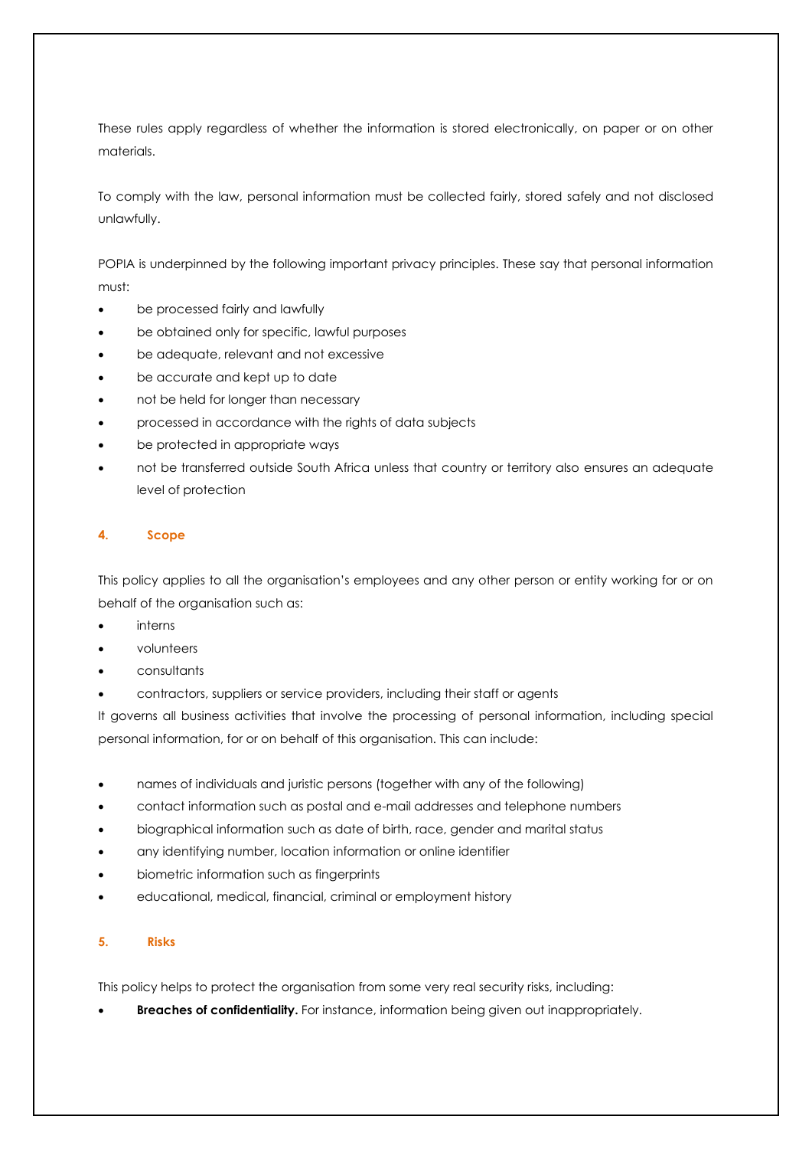These rules apply regardless of whether the information is stored electronically, on paper or on other materials.

To comply with the law, personal information must be collected fairly, stored safely and not disclosed unlawfully.

POPIA is underpinned by the following important privacy principles. These say that personal information must:

- be processed fairly and lawfully
- be obtained only for specific, lawful purposes
- be adequate, relevant and not excessive
- be accurate and kept up to date
- not be held for longer than necessary
- processed in accordance with the rights of data subjects
- be protected in appropriate ways
- not be transferred outside South Africa unless that country or territory also ensures an adequate level of protection

## **4. Scope**

This policy applies to all the organisation's employees and any other person or entity working for or on behalf of the organisation such as:

- interns
- volunteers
- consultants
- contractors, suppliers or service providers, including their staff or agents

It governs all business activities that involve the processing of personal information, including special personal information, for or on behalf of this organisation. This can include:

- names of individuals and juristic persons (together with any of the following)
- contact information such as postal and e-mail addresses and telephone numbers
- biographical information such as date of birth, race, gender and marital status
- any identifying number, location information or online identifier
- biometric information such as fingerprints
- educational, medical, financial, criminal or employment history

## **5. Risks**

This policy helps to protect the organisation from some very real security risks, including:

• **Breaches of confidentiality.** For instance, information being given out inappropriately.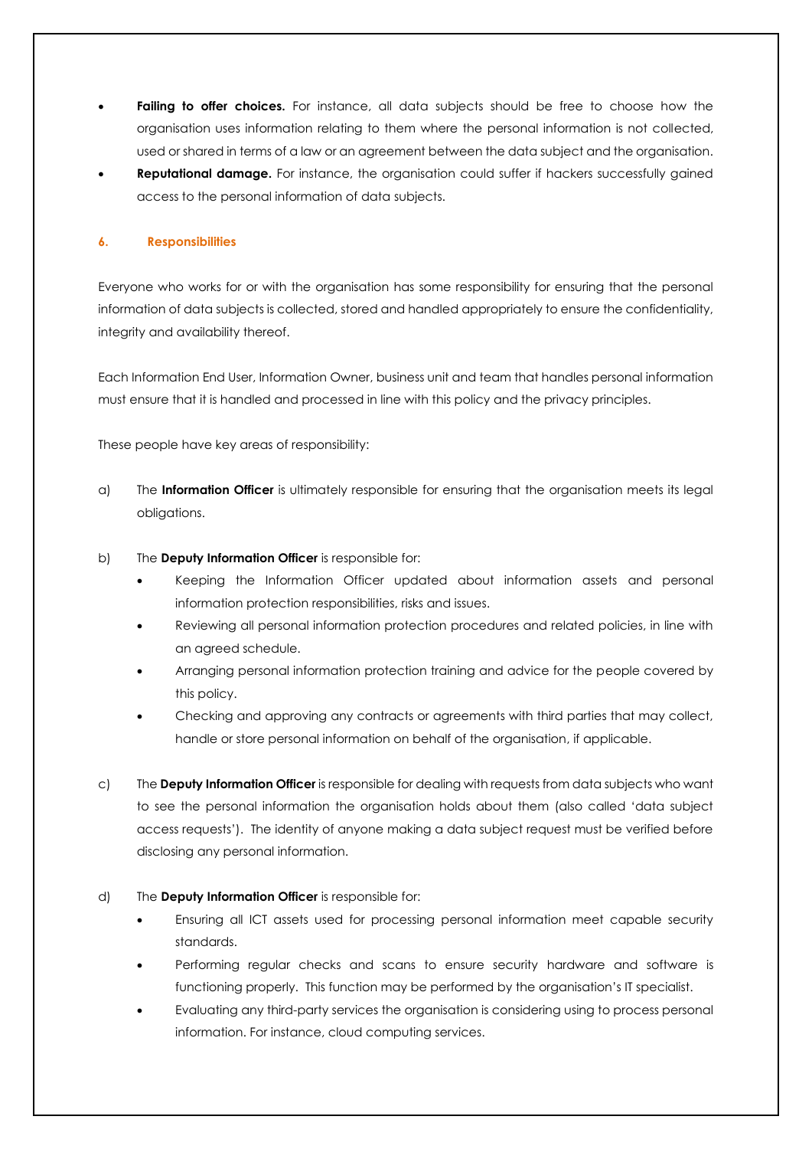- **Failing to offer choices.** For instance, all data subjects should be free to choose how the organisation uses information relating to them where the personal information is not collected, used or shared in terms of a law or an agreement between the data subject and the organisation.
- **Reputational damage.** For instance, the organisation could suffer if hackers successfully gained access to the personal information of data subjects.

#### **6. Responsibilities**

Everyone who works for or with the organisation has some responsibility for ensuring that the personal information of data subjects is collected, stored and handled appropriately to ensure the confidentiality, integrity and availability thereof.

Each Information End User, Information Owner, business unit and team that handles personal information must ensure that it is handled and processed in line with this policy and the privacy principles.

These people have key areas of responsibility:

- a) The **Information Officer** is ultimately responsible for ensuring that the organisation meets its legal obligations.
- b) The **Deputy Information Officer** is responsible for:
	- Keeping the Information Officer updated about information assets and personal information protection responsibilities, risks and issues.
	- Reviewing all personal information protection procedures and related policies, in line with an agreed schedule.
	- Arranging personal information protection training and advice for the people covered by this policy.
	- Checking and approving any contracts or agreements with third parties that may collect, handle or store personal information on behalf of the organisation, if applicable.
- c) The **Deputy Information Officer** is responsible for dealing with requests from data subjects who want to see the personal information the organisation holds about them (also called 'data subject access requests'). The identity of anyone making a data subject request must be verified before disclosing any personal information.

## d) The **Deputy Information Officer** is responsible for:

- Ensuring all ICT assets used for processing personal information meet capable security standards.
- Performing regular checks and scans to ensure security hardware and software is functioning properly. This function may be performed by the organisation's IT specialist.
- Evaluating any third-party services the organisation is considering using to process personal information. For instance, cloud computing services.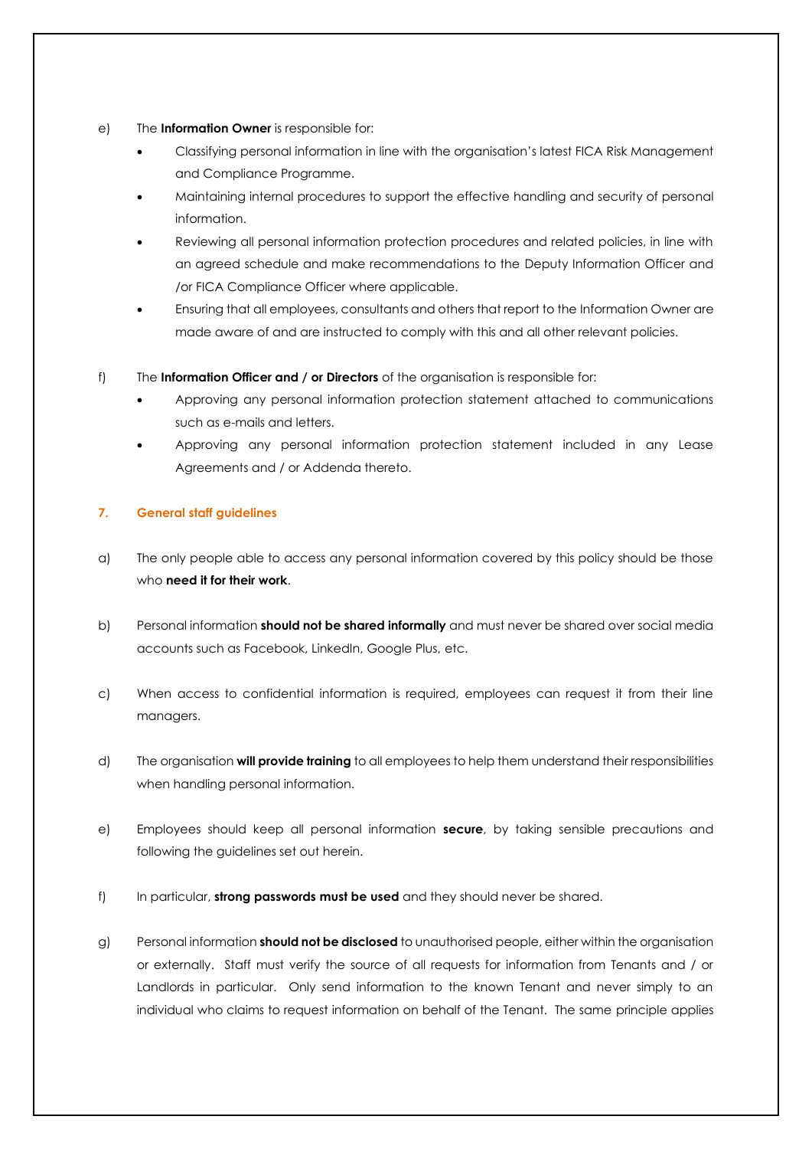- e) The **Information Owner** is responsible for:
	- Classifying personal information in line with the organisation's latest FICA Risk Management and Compliance Programme.
	- Maintaining internal procedures to support the effective handling and security of personal information.
	- Reviewing all personal information protection procedures and related policies, in line with an agreed schedule and make recommendations to the Deputy Information Officer and /or FICA Compliance Officer where applicable.
	- Ensuring that all employees, consultants and others that report to the Information Owner are made aware of and are instructed to comply with this and all other relevant policies.
- f) The **Information Officer and / or Directors** of the organisation is responsible for:
	- Approving any personal information protection statement attached to communications such as e-mails and letters.
	- Approving any personal information protection statement included in any Lease Agreements and / or Addenda thereto.

## **7. General staff guidelines**

- a) The only people able to access any personal information covered by this policy should be those who **need it for their work**.
- b) Personal information **should not be shared informally** and must never be shared over social media accounts such as Facebook, LinkedIn, Google Plus, etc.
- c) When access to confidential information is required, employees can request it from their line managers.
- d) The organisation **will provide training** to all employees to help them understand their responsibilities when handling personal information.
- e) Employees should keep all personal information **secure**, by taking sensible precautions and following the guidelines set out herein.
- f) In particular, **strong passwords must be used** and they should never be shared.
- g) Personal information **should not be disclosed** to unauthorised people, either within the organisation or externally. Staff must verify the source of all requests for information from Tenants and / or Landlords in particular. Only send information to the known Tenant and never simply to an individual who claims to request information on behalf of the Tenant. The same principle applies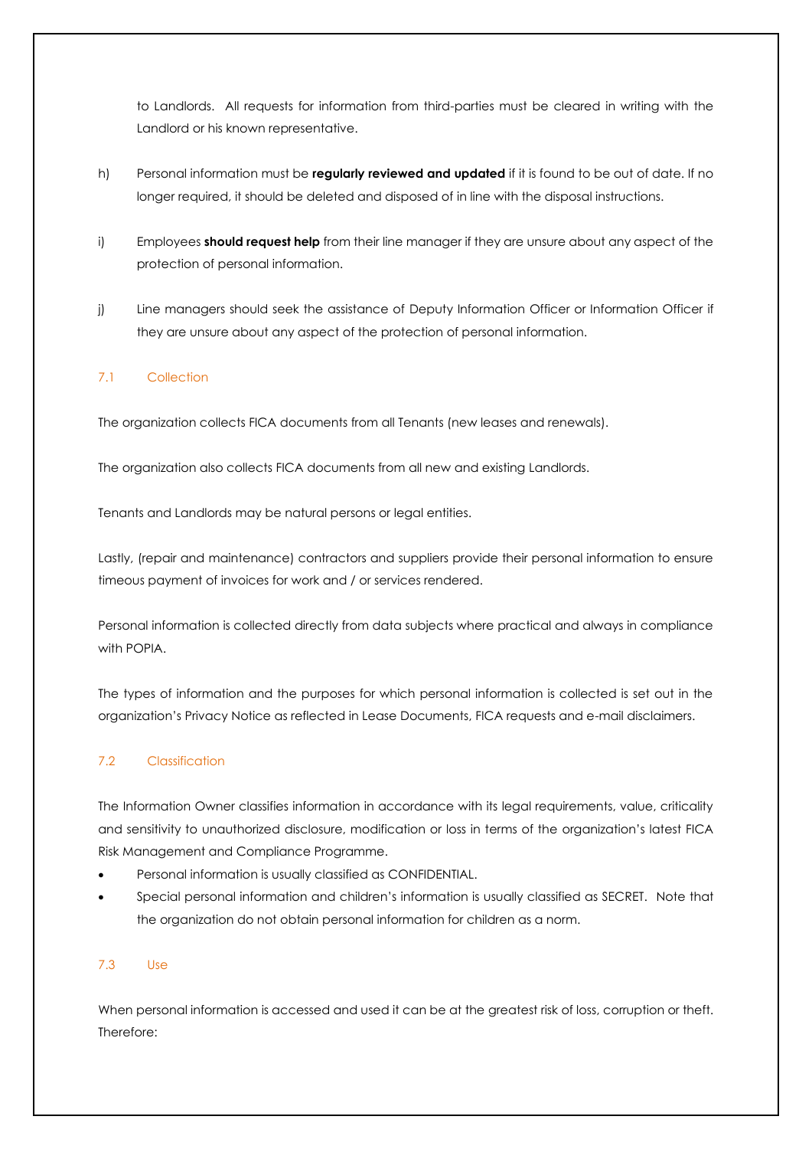to Landlords. All requests for information from third-parties must be cleared in writing with the Landlord or his known representative.

- h) Personal information must be **regularly reviewed and updated** if it is found to be out of date. If no longer required, it should be deleted and disposed of in line with the disposal instructions.
- i) Employees **should request help** from their line manager if they are unsure about any aspect of the protection of personal information.
- j) Line managers should seek the assistance of Deputy Information Officer or Information Officer if they are unsure about any aspect of the protection of personal information.

# 7.1 Collection

The organization collects FICA documents from all Tenants (new leases and renewals).

The organization also collects FICA documents from all new and existing Landlords.

Tenants and Landlords may be natural persons or legal entities.

Lastly, (repair and maintenance) contractors and suppliers provide their personal information to ensure timeous payment of invoices for work and / or services rendered.

Personal information is collected directly from data subjects where practical and always in compliance with POPIA.

The types of information and the purposes for which personal information is collected is set out in the organization's Privacy Notice as reflected in Lease Documents, FICA requests and e-mail disclaimers.

# 7.2 Classification

The Information Owner classifies information in accordance with its legal requirements, value, criticality and sensitivity to unauthorized disclosure, modification or loss in terms of the organization's latest FICA Risk Management and Compliance Programme.

- Personal information is usually classified as CONFIDENTIAL.
- Special personal information and children's information is usually classified as SECRET. Note that the organization do not obtain personal information for children as a norm.

## 7.3 Use

When personal information is accessed and used it can be at the greatest risk of loss, corruption or theft. Therefore: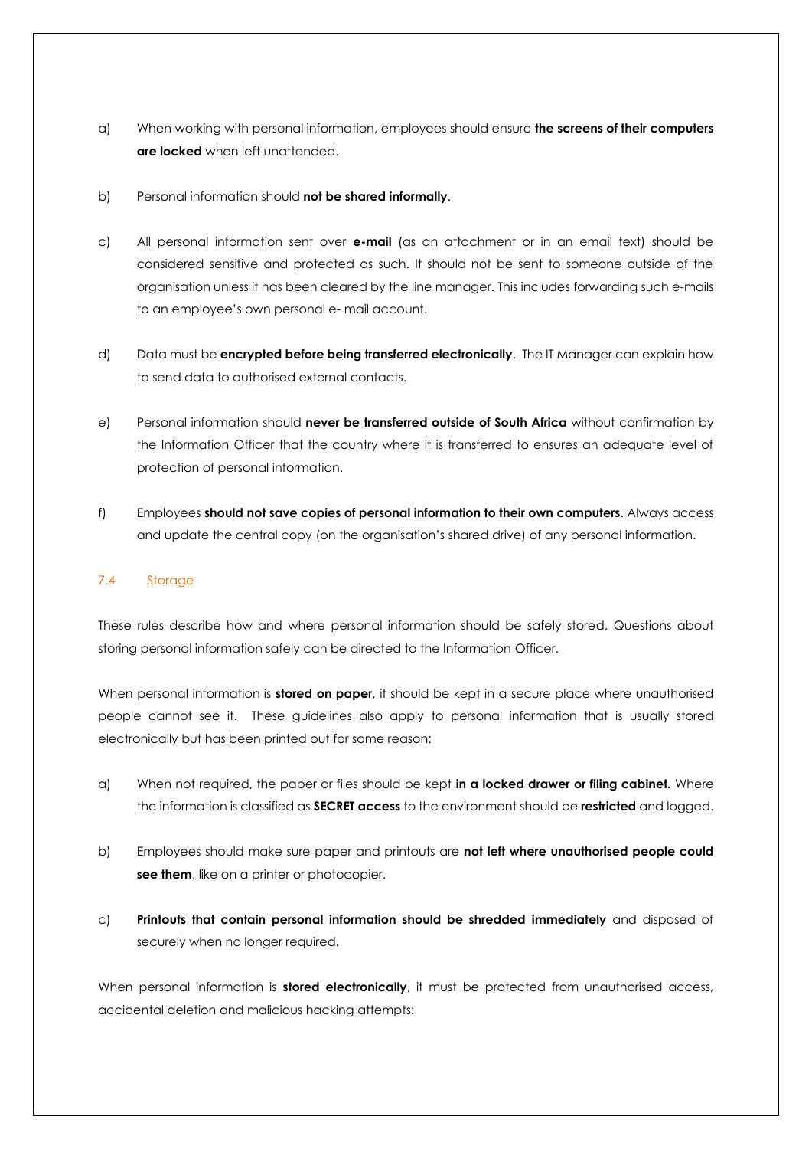- a) When working with personal information, employees should ensure **the screens of their computers are locked** when left unattended.
- b) Personal information should **not be shared informally**.
- c) All personal information sent over **e-mail** (as an attachment or in an email text) should be considered sensitive and protected as such. It should not be sent to someone outside of the organisation unless it has been cleared by the line manager. This includes forwarding such e-mails to an employee's own personal e- mail account.
- d) Data must be **encrypted before being transferred electronically**. The IT Manager can explain how to send data to authorised external contacts.
- e) Personal information should **never be transferred outside of South Africa** without confirmation by the Information Officer that the country where it is transferred to ensures an adequate level of protection of personal information.
- f) Employees **should not save copies of personal information to their own computers.** Always access and update the central copy (on the organisation's shared drive) of any personal information.

## 7.4 Storage

These rules describe how and where personal information should be safely stored. Questions about storing personal information safely can be directed to the Information Officer.

When personal information is **stored on paper**, it should be kept in a secure place where unauthorised people cannot see it. These guidelines also apply to personal information that is usually stored electronically but has been printed out for some reason:

- a) When not required, the paper or files should be kept **in a locked drawer or filing cabinet.** Where the information is classified as **SECRET access** to the environment should be **restricted** and logged.
- b) Employees should make sure paper and printouts are **not left where unauthorised people could see them**, like on a printer or photocopier.
- c) **Printouts that contain personal information should be shredded immediately** and disposed of securely when no longer required.

When personal information is **stored electronically**, it must be protected from unauthorised access, accidental deletion and malicious hacking attempts: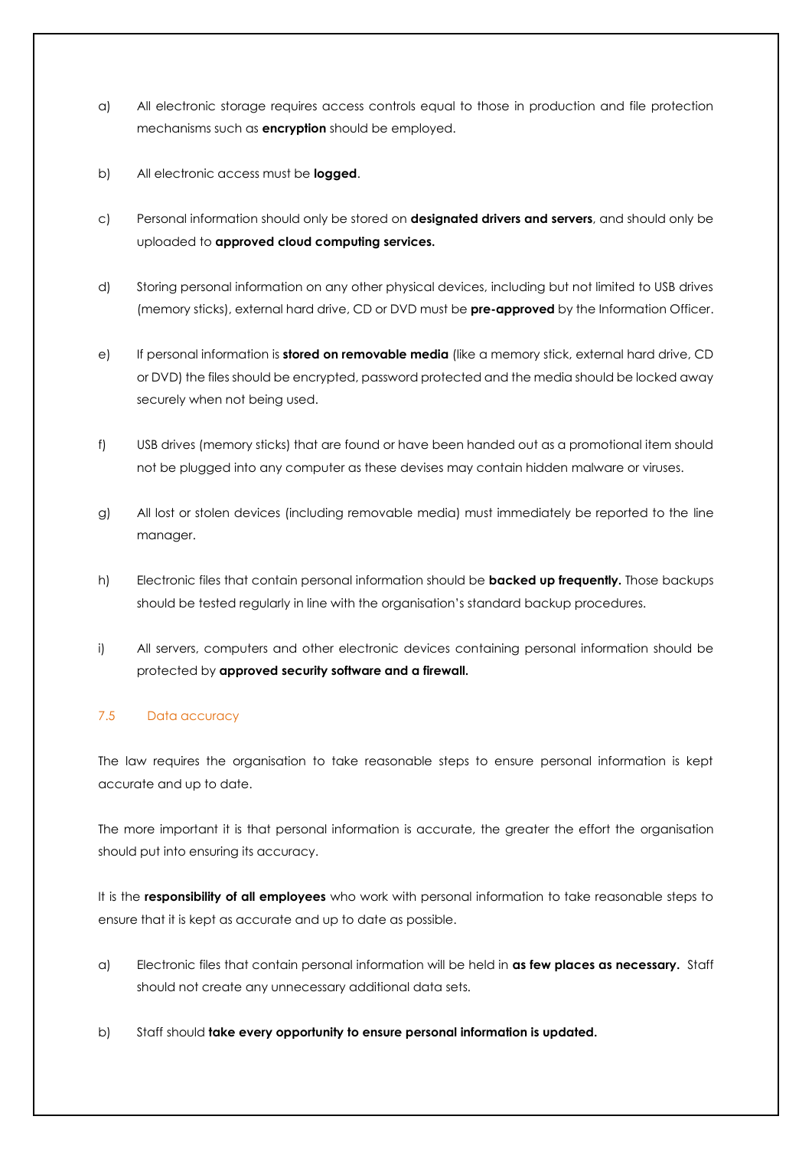- a) All electronic storage requires access controls equal to those in production and file protection mechanisms such as **encryption** should be employed.
- b) All electronic access must be **logged**.
- c) Personal information should only be stored on **designated drivers and servers**, and should only be uploaded to **approved cloud computing services.**
- d) Storing personal information on any other physical devices, including but not limited to USB drives (memory sticks), external hard drive, CD or DVD must be **pre-approved** by the Information Officer.
- e) If personal information is **stored on removable media** (like a memory stick, external hard drive, CD or DVD) the files should be encrypted, password protected and the media should be locked away securely when not being used.
- f) USB drives (memory sticks) that are found or have been handed out as a promotional item should not be plugged into any computer as these devises may contain hidden malware or viruses.
- g) All lost or stolen devices (including removable media) must immediately be reported to the line manager.
- h) Electronic files that contain personal information should be **backed up frequently.** Those backups should be tested regularly in line with the organisation's standard backup procedures.
- i) All servers, computers and other electronic devices containing personal information should be protected by **approved security software and a firewall.**

## 7.5 Data accuracy

The law requires the organisation to take reasonable steps to ensure personal information is kept accurate and up to date.

The more important it is that personal information is accurate, the greater the effort the organisation should put into ensuring its accuracy.

It is the **responsibility of all employees** who work with personal information to take reasonable steps to ensure that it is kept as accurate and up to date as possible.

- a) Electronic files that contain personal information will be held in **as few places as necessary.** Staff should not create any unnecessary additional data sets.
- b) Staff should **take every opportunity to ensure personal information is updated.**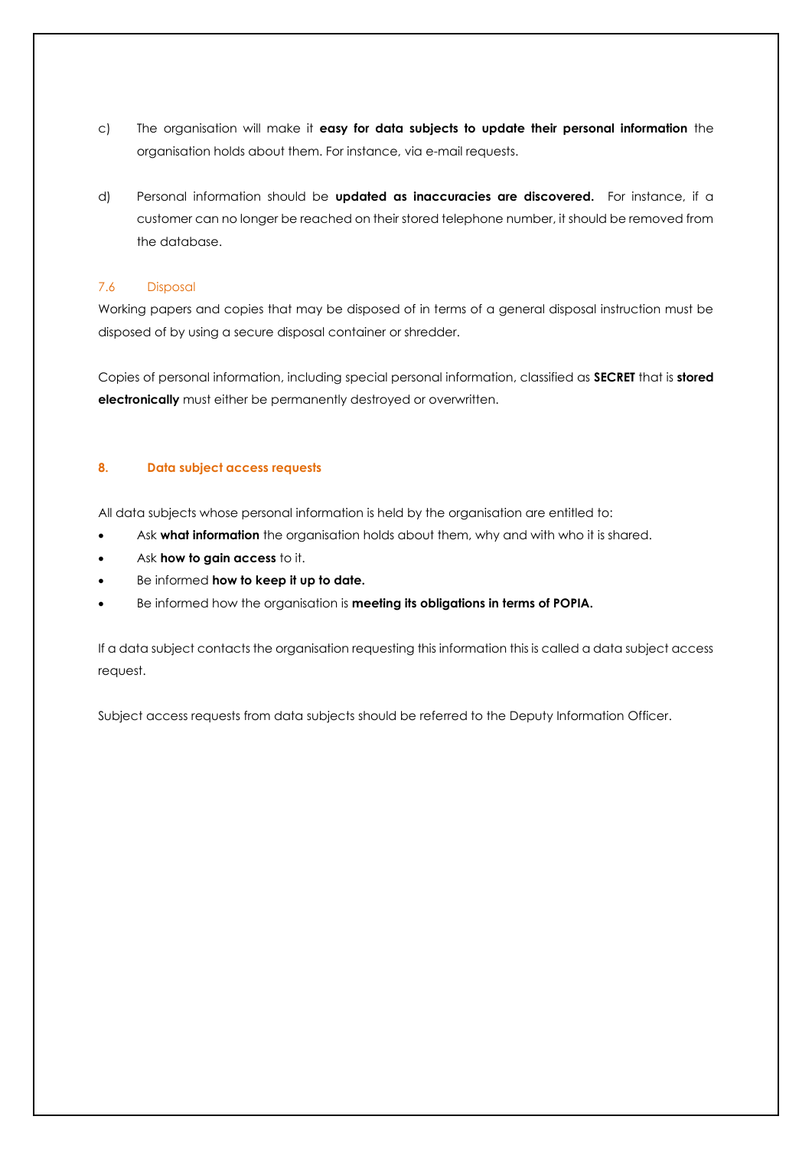- c) The organisation will make it **easy for data subjects to update their personal information** the organisation holds about them. For instance, via e-mail requests.
- d) Personal information should be **updated as inaccuracies are discovered.** For instance, if a customer can no longer be reached on their stored telephone number, it should be removed from the database.

## 7.6 Disposal

Working papers and copies that may be disposed of in terms of a general disposal instruction must be disposed of by using a secure disposal container or shredder.

Copies of personal information, including special personal information, classified as **SECRET** that is **stored electronically** must either be permanently destroyed or overwritten.

### **8. Data subject access requests**

All data subjects whose personal information is held by the organisation are entitled to:

- Ask **what information** the organisation holds about them, why and with who it is shared.
- Ask **how to gain access** to it.
- Be informed **how to keep it up to date.**
- Be informed how the organisation is **meeting its obligations in terms of POPIA.**

If a data subject contacts the organisation requesting this information this is called a data subject access request.

Subject access requests from data subjects should be referred to the Deputy Information Officer.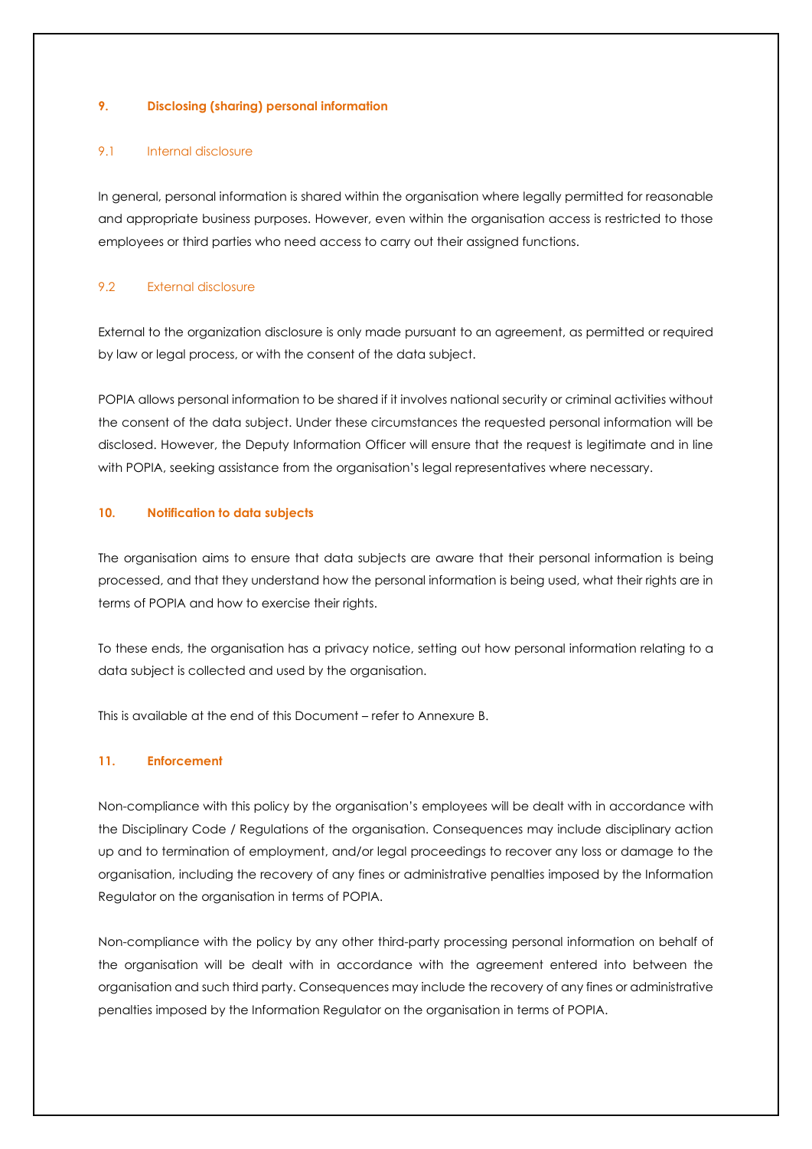#### **9. Disclosing (sharing) personal information**

#### 9.1 Internal disclosure

In general, personal information is shared within the organisation where legally permitted for reasonable and appropriate business purposes. However, even within the organisation access is restricted to those employees or third parties who need access to carry out their assigned functions.

## 9.2 External disclosure

External to the organization disclosure is only made pursuant to an agreement, as permitted or required by law or legal process, or with the consent of the data subject.

POPIA allows personal information to be shared if it involves national security or criminal activities without the consent of the data subject. Under these circumstances the requested personal information will be disclosed. However, the Deputy Information Officer will ensure that the request is legitimate and in line with POPIA, seeking assistance from the organisation's legal representatives where necessary.

#### **10. Notification to data subjects**

The organisation aims to ensure that data subjects are aware that their personal information is being processed, and that they understand how the personal information is being used, what their rights are in terms of POPIA and how to exercise their rights.

To these ends, the organisation has a privacy notice, setting out how personal information relating to a data subject is collected and used by the organisation.

This is available at the end of this Document – refer to Annexure B.

## **11. Enforcement**

Non-compliance with this policy by the organisation's employees will be dealt with in accordance with the Disciplinary Code / Regulations of the organisation. Consequences may include disciplinary action up and to termination of employment, and/or legal proceedings to recover any loss or damage to the organisation, including the recovery of any fines or administrative penalties imposed by the Information Regulator on the organisation in terms of POPIA.

Non-compliance with the policy by any other third-party processing personal information on behalf of the organisation will be dealt with in accordance with the agreement entered into between the organisation and such third party. Consequences may include the recovery of any fines or administrative penalties imposed by the Information Regulator on the organisation in terms of POPIA.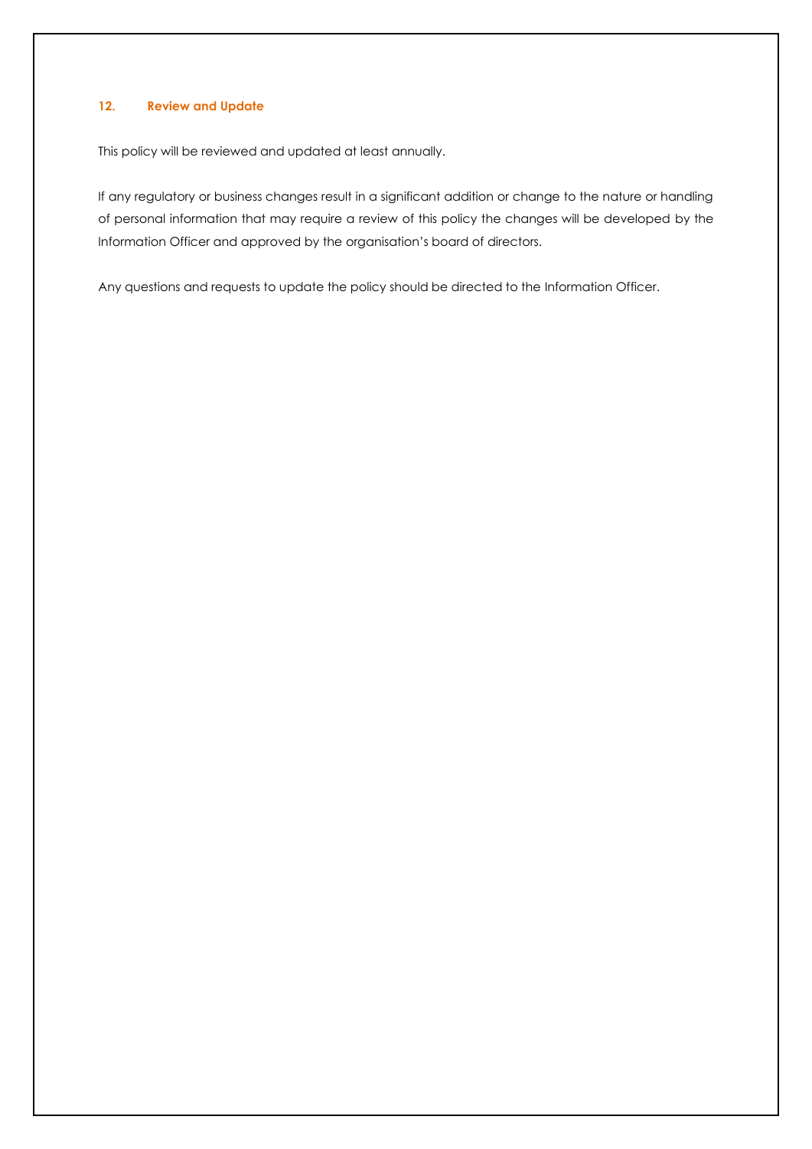#### **12. Review and Update**

This policy will be reviewed and updated at least annually.

If any regulatory or business changes result in a significant addition or change to the nature or handling of personal information that may require a review of this policy the changes will be developed by the Information Officer and approved by the organisation's board of directors.

Any questions and requests to update the policy should be directed to the Information Officer.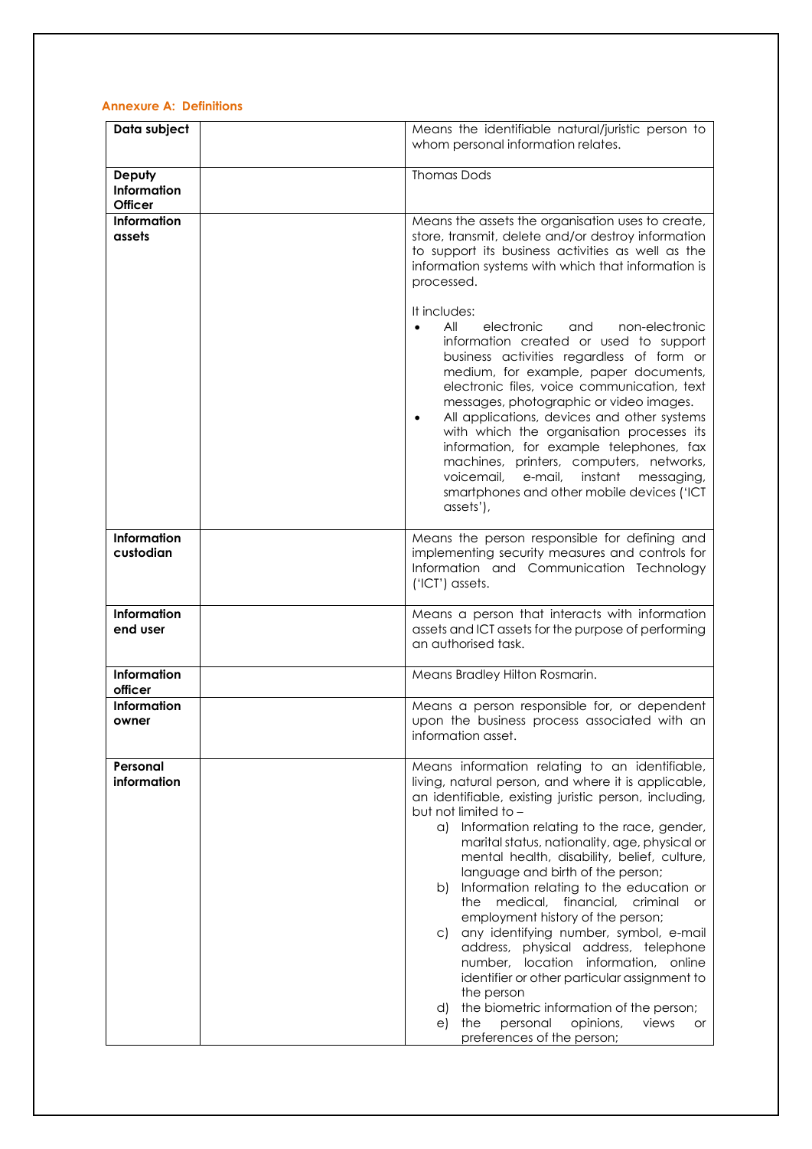#### **Annexure A: Definitions**

| Data subject                            | Means the identifiable natural/juristic person to<br>whom personal information relates.                                                                                                                                                                                                                                                                                                                                                                                                                                                                                                                                                                                                                                                                                                                                                      |
|-----------------------------------------|----------------------------------------------------------------------------------------------------------------------------------------------------------------------------------------------------------------------------------------------------------------------------------------------------------------------------------------------------------------------------------------------------------------------------------------------------------------------------------------------------------------------------------------------------------------------------------------------------------------------------------------------------------------------------------------------------------------------------------------------------------------------------------------------------------------------------------------------|
| Deputy<br>Information<br><b>Officer</b> | <b>Thomas Dods</b>                                                                                                                                                                                                                                                                                                                                                                                                                                                                                                                                                                                                                                                                                                                                                                                                                           |
| Information<br>assets                   | Means the assets the organisation uses to create,<br>store, transmit, delete and/or destroy information<br>to support its business activities as well as the<br>information systems with which that information is<br>processed.                                                                                                                                                                                                                                                                                                                                                                                                                                                                                                                                                                                                             |
|                                         | It includes:<br>All<br>electronic<br>and<br>non-electronic<br>$\bullet$<br>information created or used to support<br>business activities regardless of form or<br>medium, for example, paper documents,<br>electronic files, voice communication, text<br>messages, photographic or video images.<br>All applications, devices and other systems<br>$\bullet$<br>with which the organisation processes its<br>information, for example telephones, fax<br>machines, printers, computers, networks,<br>voicemail,<br>instant<br>e-mail,<br>messaging,<br>smartphones and other mobile devices ('ICT<br>assets'),                                                                                                                                                                                                                              |
| Information<br>custodian                | Means the person responsible for defining and<br>implementing security measures and controls for<br>Information and Communication Technology<br>('ICT') assets.                                                                                                                                                                                                                                                                                                                                                                                                                                                                                                                                                                                                                                                                              |
| Information<br>end user                 | Means a person that interacts with information<br>assets and ICT assets for the purpose of performing<br>an authorised task.                                                                                                                                                                                                                                                                                                                                                                                                                                                                                                                                                                                                                                                                                                                 |
| Information<br>officer                  | Means Bradley Hilton Rosmarin.                                                                                                                                                                                                                                                                                                                                                                                                                                                                                                                                                                                                                                                                                                                                                                                                               |
| <b>Information</b><br>owner             | Means a person responsible for, or dependent<br>upon the business process associated with an<br>information asset.                                                                                                                                                                                                                                                                                                                                                                                                                                                                                                                                                                                                                                                                                                                           |
| Personal<br>information                 | Means information relating to an identifiable,<br>living, natural person, and where it is applicable,<br>an identifiable, existing juristic person, including,<br>but not limited to -<br>a) Information relating to the race, gender,<br>marital status, nationality, age, physical or<br>mental health, disability, belief, culture,<br>language and birth of the person;<br>Information relating to the education or<br>b)<br>the medical, financial, criminal or<br>employment history of the person;<br>any identifying number, symbol, e-mail<br>C)<br>address, physical address, telephone<br>number, location information, online<br>identifier or other particular assignment to<br>the person<br>the biometric information of the person;<br>d)<br>personal<br>opinions,<br>e)<br>the<br>views<br>or<br>preferences of the person; |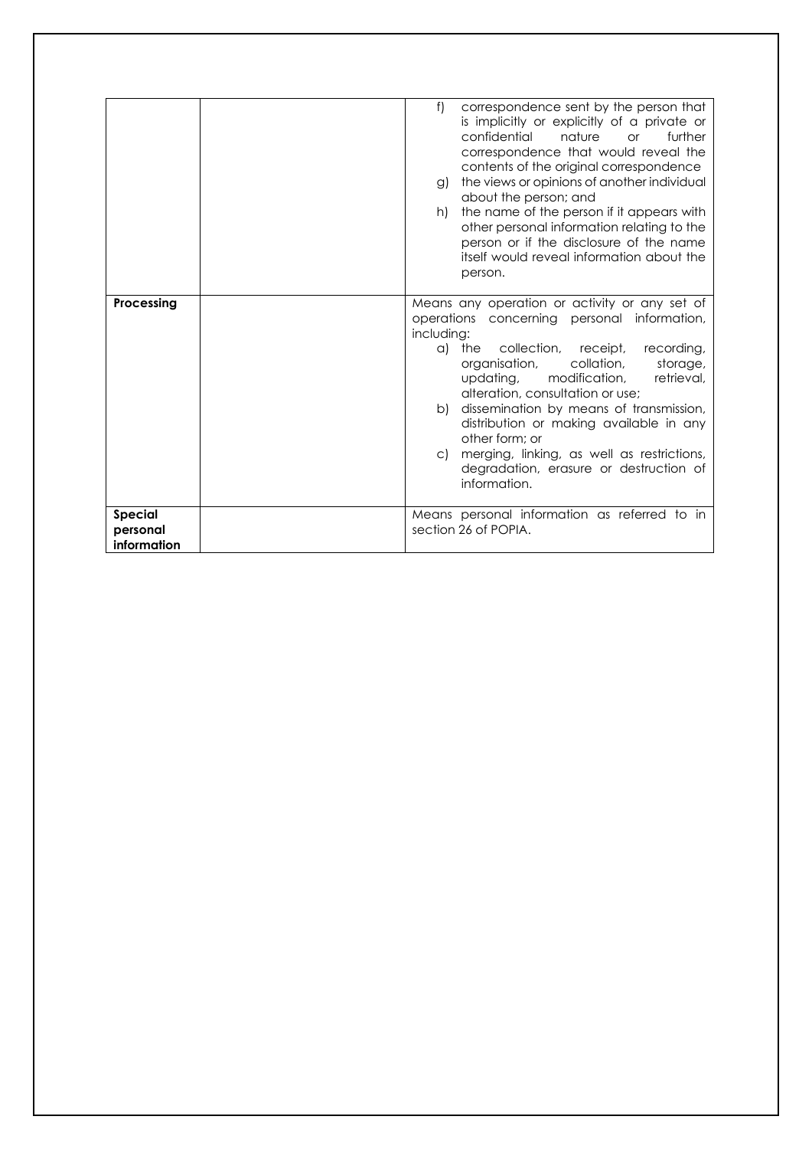|                                           | f)<br>correspondence sent by the person that<br>is implicitly or explicitly of a private or<br>confidential<br>nature<br>further<br><b>or</b><br>correspondence that would reveal the<br>contents of the original correspondence<br>the views or opinions of another individual<br>g)<br>about the person; and<br>the name of the person if it appears with<br>h)<br>other personal information relating to the<br>person or if the disclosure of the name<br>itself would reveal information about the<br>person. |
|-------------------------------------------|--------------------------------------------------------------------------------------------------------------------------------------------------------------------------------------------------------------------------------------------------------------------------------------------------------------------------------------------------------------------------------------------------------------------------------------------------------------------------------------------------------------------|
| Processing                                | Means any operation or activity or any set of<br>operations concerning personal information,<br>including:<br>a) the collection, receipt,<br>recording,<br>organisation,<br>collation,<br>storage,<br>retrieval,<br>updating, modification,<br>alteration, consultation or use;<br>dissemination by means of transmission,<br>b)<br>distribution or making available in any<br>other form: or<br>merging, linking, as well as restrictions,<br>C)<br>degradation, erasure or destruction of<br>information.        |
| <b>Special</b><br>personal<br>information | Means personal information as referred to in<br>section 26 of POPIA.                                                                                                                                                                                                                                                                                                                                                                                                                                               |